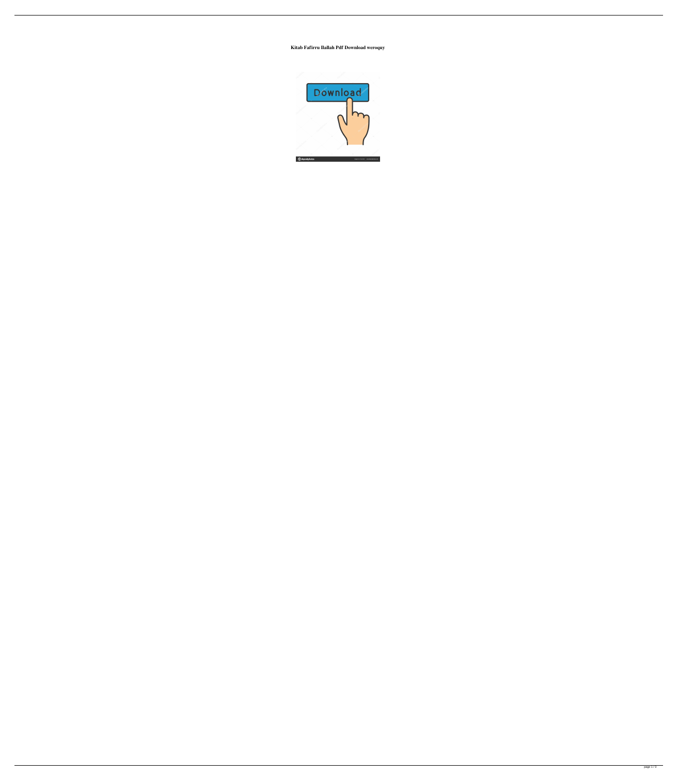**Kitab Fafirru Ilallah Pdf Download weroquy**

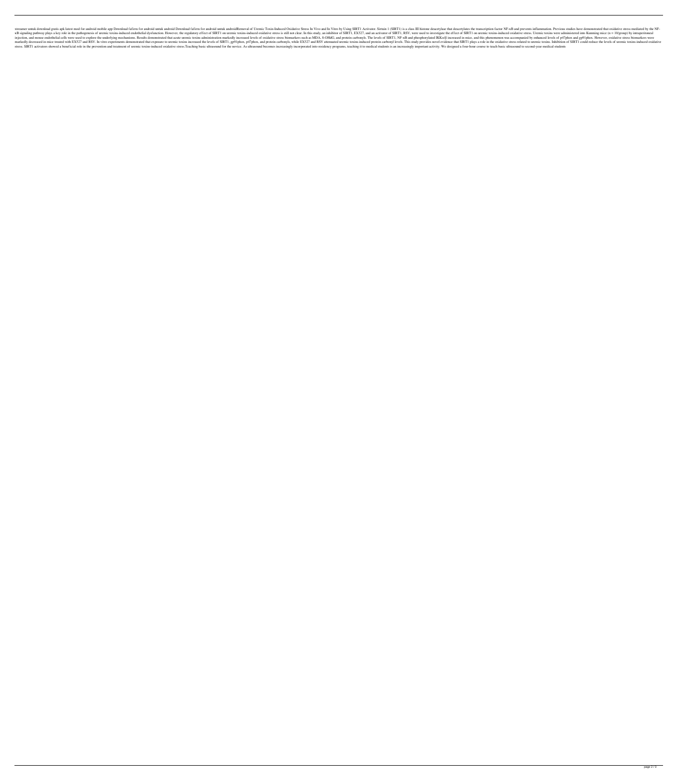xtreamer untuk download gratis apk latest mod for android mobile app Download fafirru for android untuk android untuk android Download fafirru for android Removal of Uremic Toxin-Induced Oxidative Stress In Vivo and In Vit KB signaling pathway plays a key role in the pathogenesis of uremic toxins-induced endothelial dysfunction. However, the regulatory effect of SIRT1 on uremic toxins-induced oxidative stress is still not clear. In this stud injection, and mouse endothelial cells were used to explore the underlying mechanisms. Results demonstrated that acute uremic toxins administration markedly increased levels of oxidative stress biomarkers such as MDA, 8-OH markedly decreased in mice treated with EX527 and RSV. In vitro experiments demonstrated that exposure to uremic toxins increased the levels of SIRT1, gp91phox, p47phox, and protein carbonyl levels. This study provides nov stress. SIRT1 activators showed a beneficial role in the prevention and treatment of uremic toxins-induced oxidative stress. Teaching basic ultrasound for the novice. As ultrasound becomes increasingly incorporated into re